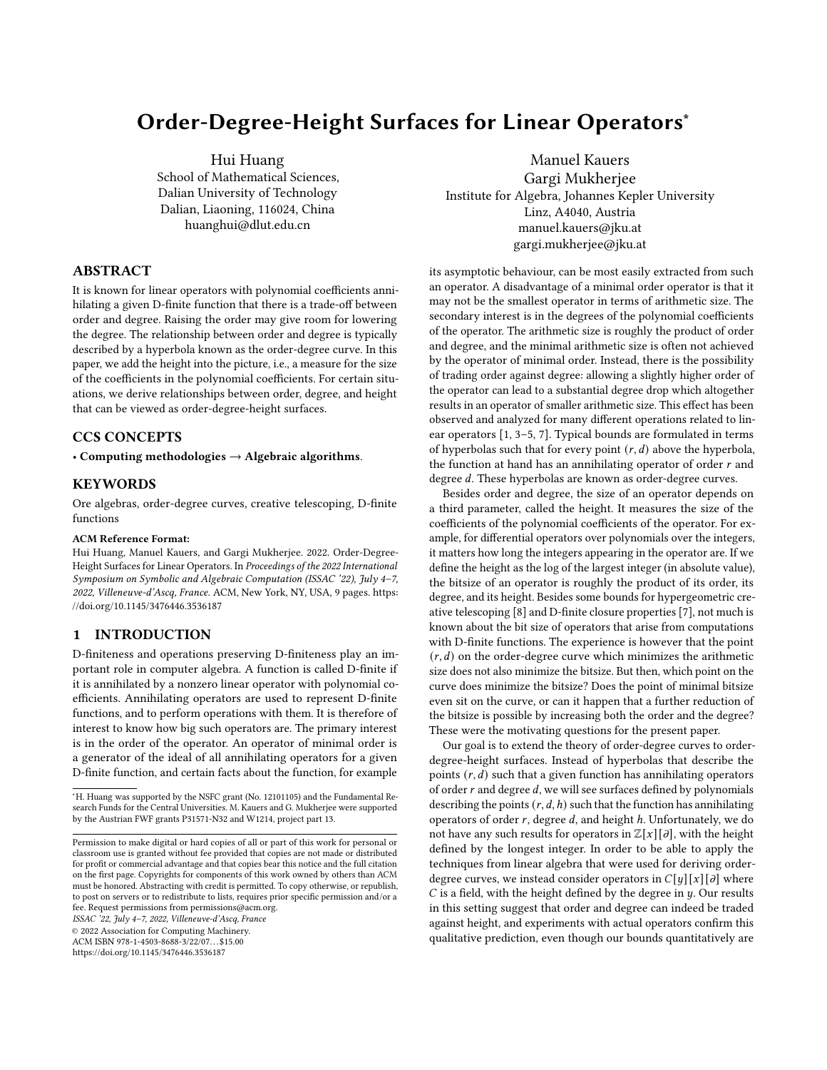# Order-Degree-Height Surfaces for Linear Operators<sup>∗</sup>

Hui Huang

School of Mathematical Sciences, Dalian University of Technology Dalian, Liaoning, 116024, China huanghui@dlut.edu.cn

# ABSTRACT

It is known for linear operators with polynomial coefficients annihilating a given D-finite function that there is a trade-off between order and degree. Raising the order may give room for lowering the degree. The relationship between order and degree is typically described by a hyperbola known as the order-degree curve. In this paper, we add the height into the picture, i.e., a measure for the size of the coefficients in the polynomial coefficients. For certain situations, we derive relationships between order, degree, and height that can be viewed as order-degree-height surfaces.

## CCS CONCEPTS

• Computing methodologies  $\rightarrow$  Algebraic algorithms.

## **KEYWORDS**

Ore algebras, order-degree curves, creative telescoping, D-finite functions

#### ACM Reference Format:

Hui Huang, Manuel Kauers, and Gargi Mukherjee. 2022. Order-Degree-Height Surfaces for Linear Operators. In Proceedings of the 2022 International Symposium on Symbolic and Algebraic Computation (ISSAC '22), July 4–7, 2022, Villeneuve-d'Ascq, France. ACM, New York, NY, USA, [9](#page-8-0) pages. [https:](https://doi.org/10.1145/3476446.3536187) [//doi.org/10.1145/3476446.3536187](https://doi.org/10.1145/3476446.3536187)

## 1 INTRODUCTION

D-finiteness and operations preserving D-finiteness play an important role in computer algebra. A function is called D-finite if it is annihilated by a nonzero linear operator with polynomial coefficients. Annihilating operators are used to represent D-finite functions, and to perform operations with them. It is therefore of interest to know how big such operators are. The primary interest is in the order of the operator. An operator of minimal order is a generator of the ideal of all annihilating operators for a given D-finite function, and certain facts about the function, for example

ISSAC '22, July 4–7, 2022, Villeneuve-d'Ascq, France

© 2022 Association for Computing Machinery.

ACM ISBN 978-1-4503-8688-3/22/07. . . \$15.00

<https://doi.org/10.1145/3476446.3536187>

Manuel Kauers Gargi Mukherjee Institute for Algebra, Johannes Kepler University Linz, A4040, Austria manuel.kauers@jku.at gargi.mukherjee@jku.at

its asymptotic behaviour, can be most easily extracted from such an operator. A disadvantage of a minimal order operator is that it may not be the smallest operator in terms of arithmetic size. The secondary interest is in the degrees of the polynomial coefficients of the operator. The arithmetic size is roughly the product of order and degree, and the minimal arithmetic size is often not achieved by the operator of minimal order. Instead, there is the possibility of trading order against degree: allowing a slightly higher order of the operator can lead to a substantial degree drop which altogether results in an operator of smaller arithmetic size. This effect has been observed and analyzed for many different operations related to linear operators [\[1,](#page-8-1) [3–](#page-8-2)[5,](#page-8-3) [7\]](#page-8-4). Typical bounds are formulated in terms of hyperbolas such that for every point  $(r, d)$  above the hyperbola, the function at hand has an annihilating operator of order  $r$  and degree d. These hyperbolas are known as order-degree curves.

Besides order and degree, the size of an operator depends on a third parameter, called the height. It measures the size of the coefficients of the polynomial coefficients of the operator. For example, for differential operators over polynomials over the integers, it matters how long the integers appearing in the operator are. If we define the height as the log of the largest integer (in absolute value), the bitsize of an operator is roughly the product of its order, its degree, and its height. Besides some bounds for hypergeometric creative telescoping [\[8\]](#page-8-5) and D-finite closure properties [\[7\]](#page-8-4), not much is known about the bit size of operators that arise from computations with D-finite functions. The experience is however that the point  $(r, d)$  on the order-degree curve which minimizes the arithmetic size does not also minimize the bitsize. But then, which point on the curve does minimize the bitsize? Does the point of minimal bitsize even sit on the curve, or can it happen that a further reduction of the bitsize is possible by increasing both the order and the degree? These were the motivating questions for the present paper.

Our goal is to extend the theory of order-degree curves to orderdegree-height surfaces. Instead of hyperbolas that describe the points  $(r, d)$  such that a given function has annihilating operators of order  $r$  and degree  $d$ , we will see surfaces defined by polynomials describing the points  $(r, d, h)$  such that the function has annihilating operators of order  $r$ , degree  $d$ , and height  $h$ . Unfortunately, we do not have any such results for operators in  $\mathbb{Z}[x][\partial]$ , with the height defined by the longest integer. In order to be able to apply the techniques from linear algebra that were used for deriving orderdegree curves, we instead consider operators in  $C[y][x][\partial]$  where  $C$  is a field, with the height defined by the degree in  $y$ . Our results in this setting suggest that order and degree can indeed be traded against height, and experiments with actual operators confirm this qualitative prediction, even though our bounds quantitatively are

<sup>∗</sup>H. Huang was supported by the NSFC grant (No. 12101105) and the Fundamental Research Funds for the Central Universities. M. Kauers and G. Mukherjee were supported by the Austrian FWF grants P31571-N32 and W1214, project part 13.

Permission to make digital or hard copies of all or part of this work for personal or classroom use is granted without fee provided that copies are not made or distributed for profit or commercial advantage and that copies bear this notice and the full citation on the first page. Copyrights for components of this work owned by others than ACM must be honored. Abstracting with credit is permitted. To copy otherwise, or republish, to post on servers or to redistribute to lists, requires prior specific permission and/or a fee. Request permissions from permissions@acm.org.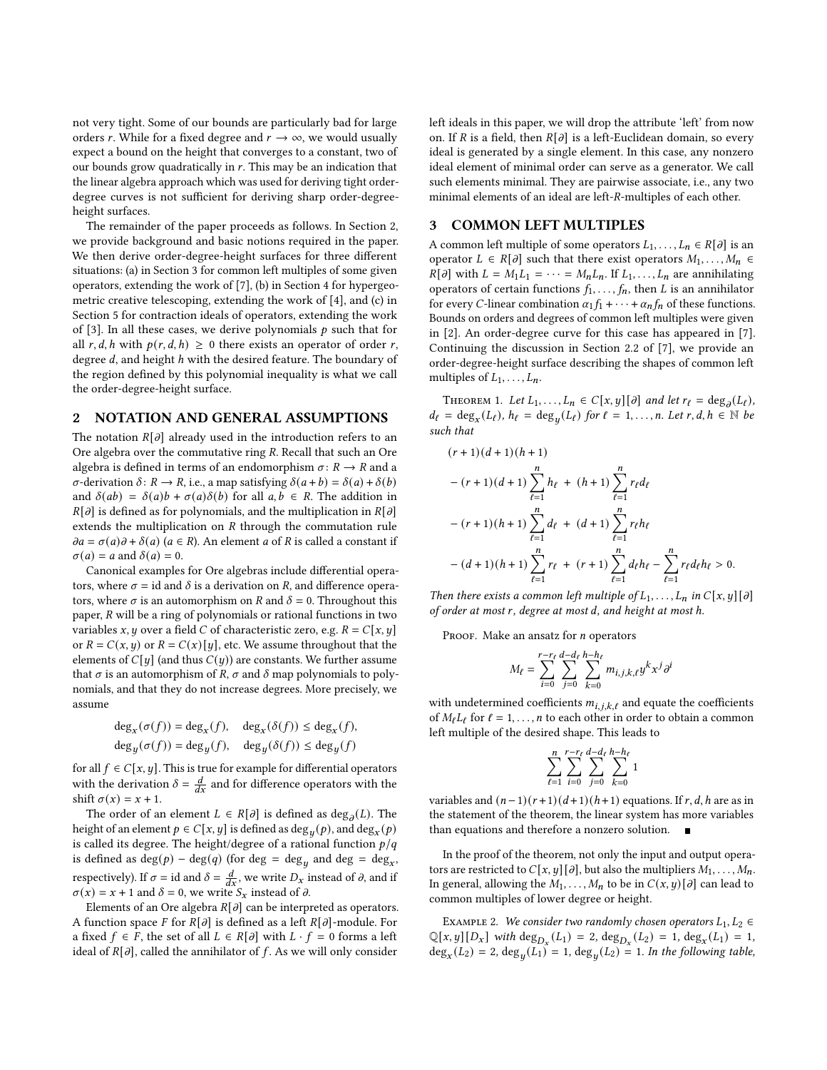not very tight. Some of our bounds are particularly bad for large orders r. While for a fixed degree and  $r \to \infty$ , we would usually expect a bound on the height that converges to a constant, two of our bounds grow quadratically in  $r$ . This may be an indication that the linear algebra approach which was used for deriving tight orderdegree curves is not sufficient for deriving sharp order-degreeheight surfaces.

The remainder of the paper proceeds as follows. In Section [2,](#page-1-0) we provide background and basic notions required in the paper. We then derive order-degree-height surfaces for three different situations: (a) in Section [3](#page-1-1) for common left multiples of some given operators, extending the work of [\[7\]](#page-8-4), (b) in Section [4](#page-2-0) for hypergeometric creative telescoping, extending the work of [\[4\]](#page-8-6), and (c) in Section [5](#page-5-0) for contraction ideals of operators, extending the work of [\[3\]](#page-8-2). In all these cases, we derive polynomials  $p$  such that for all r, d, h with  $p(r, d, h) \ge 0$  there exists an operator of order r, degree  $d$ , and height  $h$  with the desired feature. The boundary of the region defined by this polynomial inequality is what we call the order-degree-height surface.

## <span id="page-1-0"></span>2 NOTATION AND GENERAL ASSUMPTIONS

The notation  $R[\partial]$  already used in the introduction refers to an Ore algebra over the commutative ring  $R$ . Recall that such an Ore algebra is defined in terms of an endomorphism  $\sigma: R \to R$  and a  $\sigma$ -derivation  $\delta: R \to R$ , i.e., a map satisfying  $\delta(a+b) = \delta(a) + \delta(b)$ and  $\delta(ab) = \delta(a)b + \sigma(a)\delta(b)$  for all  $a, b \in R$ . The addition in  $R[\partial]$  is defined as for polynomials, and the multiplication in  $R[\partial]$ extends the multiplication on  $R$  through the commutation rule  $\partial a = \sigma(a)\partial + \delta(a)$  ( $a \in R$ ). An element  $a$  of  $R$  is called a constant if  $\sigma(a) = a$  and  $\delta(a) = 0$ .

Canonical examples for Ore algebras include differential operators, where  $\sigma = id$  and  $\delta$  is a derivation on R, and difference operators, where  $\sigma$  is an automorphism on R and  $\delta = 0$ . Throughout this paper,  $R$  will be a ring of polynomials or rational functions in two variables x, y over a field C of characteristic zero, e.g.  $R = C[x, y]$ or  $R = C(x, y)$  or  $R = C(x)[y]$ , etc. We assume throughout that the elements of  $C[y]$  (and thus  $C(y)$ ) are constants. We further assume that  $\sigma$  is an automorphism of R,  $\sigma$  and  $\delta$  map polynomials to polynomials, and that they do not increase degrees. More precisely, we assume

$$
\begin{aligned} &\deg_x(\sigma(f))=\deg_x(f), && \deg_x(\delta(f))\leq \deg_x(f),\\ &\deg_y(\sigma(f))=\deg_y(f), && \deg_y(\delta(f))\leq \deg_y(f) \end{aligned}
$$

for all  $f \in C[x, y]$ . This is true for example for differential operators with the derivation  $\delta = \frac{d}{dx}$  and for difference operators with the shift  $\sigma(x) = x + 1$ .

The order of an element  $L \in R[\partial]$  is defined as  $\text{deg}_{\partial}(L)$ . The height of an element  $p \in C[x, y]$  is defined as  $\deg_u(p)$ , and  $\deg_x(p)$ is called its degree. The height/degree of a rational function  $p/q$ is defined as  $deg(p) - deg(q)$  (for  $deg = deg_u$  and  $deg = deg_x$ , respectively). If  $\sigma = id$  and  $\delta = \frac{d}{dx}$ , we write  $D_x$  instead of  $\partial$ , and if  $\sigma(x) = x + 1$  and  $\delta = 0$ , we write  $S_x$  instead of  $\partial$ .

Elements of an Ore algebra  $R[\partial]$  can be interpreted as operators. A function space F for  $R[\partial]$  is defined as a left  $R[\partial]$ -module. For a fixed  $f \in F$ , the set of all  $L \in R[\partial]$  with  $L \cdot f = 0$  forms a left ideal of  $R[\partial]$ , called the annihilator of f. As we will only consider

left ideals in this paper, we will drop the attribute 'left' from now on. If *R* is a field, then  $R[\partial]$  is a left-Euclidean domain, so every ideal is generated by a single element. In this case, any nonzero ideal element of minimal order can serve as a generator. We call such elements minimal. They are pairwise associate, i.e., any two minimal elements of an ideal are left-R-multiples of each other.

#### <span id="page-1-1"></span>3 COMMON LEFT MULTIPLES

A common left multiple of some operators  $L_1, \ldots, L_n \in R[\partial]$  is an operator  $L \in R[\partial]$  such that there exist operators  $M_1, \ldots, M_n \in$  $R[\partial]$  with  $L = M_1 L_1 = \cdots = M_n L_n$ . If  $L_1, \ldots, L_n$  are annihilating operators of certain functions  $f_1, \ldots, f_n$  then  $L$  is an annihilator for every C-linear combination  $\alpha_1 f_1 + \cdots + \alpha_n f_n$  of these functions. Bounds on orders and degrees of common left multiples were given in [\[2\]](#page-8-7). An order-degree curve for this case has appeared in [\[7\]](#page-8-4). Continuing the discussion in Section 2.2 of [\[7\]](#page-8-4), we provide an order-degree-height surface describing the shapes of common left multiples of  $L_1, \ldots, L_n$ .

<span id="page-1-2"></span>THEOREM 1. Let  $L_1, \ldots, L_n \in C[x, y][\partial]$  and let  $r_\ell = \deg_{\partial}(L_\ell)$ ,  $d_{\ell} = \deg_x(L_{\ell}), h_{\ell} = \deg_y(L_{\ell})$  for  $\ell = 1, \ldots, n$ . Let  $r, d, h \in \mathbb{N}$  be such that

$$
\begin{aligned} &(r+1)(d+1)(h+1)\\&-(r+1)(d+1)\sum_{\ell=1}^n h_\ell\;+\;(h+1)\sum_{\ell=1}^n r_\ell d_\ell\\&-(r+1)(h+1)\sum_{\ell=1}^n d_\ell\;+\;(d+1)\sum_{\ell=1}^n r_\ell h_\ell\\&-(d+1)(h+1)\sum_{\ell=1}^n r_\ell\;+\;(r+1)\sum_{\ell=1}^n d_\ell h_\ell-\sum_{\ell=1}^n r_\ell d_\ell h_\ell>0.\end{aligned}
$$

Then there exists a common left multiple of  $L_1, \ldots, L_n$  in  $C[x, y][\partial]$ of order at most r, degree at most d, and height at most h.

PROOF. Make an ansatz for  $n$  operators

$$
M_{\ell} = \sum_{i=0}^{r-r_{\ell}} \sum_{j=0}^{d-d_{\ell}} \sum_{k=0}^{h-h_{\ell}} m_{i,j,k,\ell} y^{k} x^{j} \partial^{i}
$$

with undetermined coefficients  $m_{i,j,k,\ell}$  and equate the coefficients of  $M_{\ell}L_{\ell}$  for  $\ell = 1, ..., n$  to each other in order to obtain a common left multiple of the desired shape. This leads to

$$
\sum_{\ell=1}^n\sum_{i=0}^{r-r_\ell}\sum_{j=0}^{d-d_\ell}\sum_{k=0}^{h-h_\ell}1
$$

variables and  $(n-1)(r+1)(d+1)(h+1)$  equations. If  $r, d, h$  are as in the statement of the theorem, the linear system has more variables than equations and therefore a nonzero solution.

In the proof of the theorem, not only the input and output operators are restricted to  $C[x, y][\partial]$ , but also the multipliers  $M_1, \ldots, M_n$ . In general, allowing the  $M_1, \ldots, M_n$  to be in  $C(x, y) [\partial]$  can lead to common multiples of lower degree or height.

EXAMPLE 2. We consider two randomly chosen operators  $L_1, L_2 \in$  $\mathbb{Q}[x, y][D_x]$  with  $\text{deg}_{D_x}(L_1) = 2$ ,  $\text{deg}_{D_x}(L_2) = 1$ ,  $\text{deg}_x(L_1) = 1$ ,  $deg_x(L_2) = 2$ ,  $deg_y(L_1) = 1$ ,  $deg_y(L_2) = 1$ . In the following table,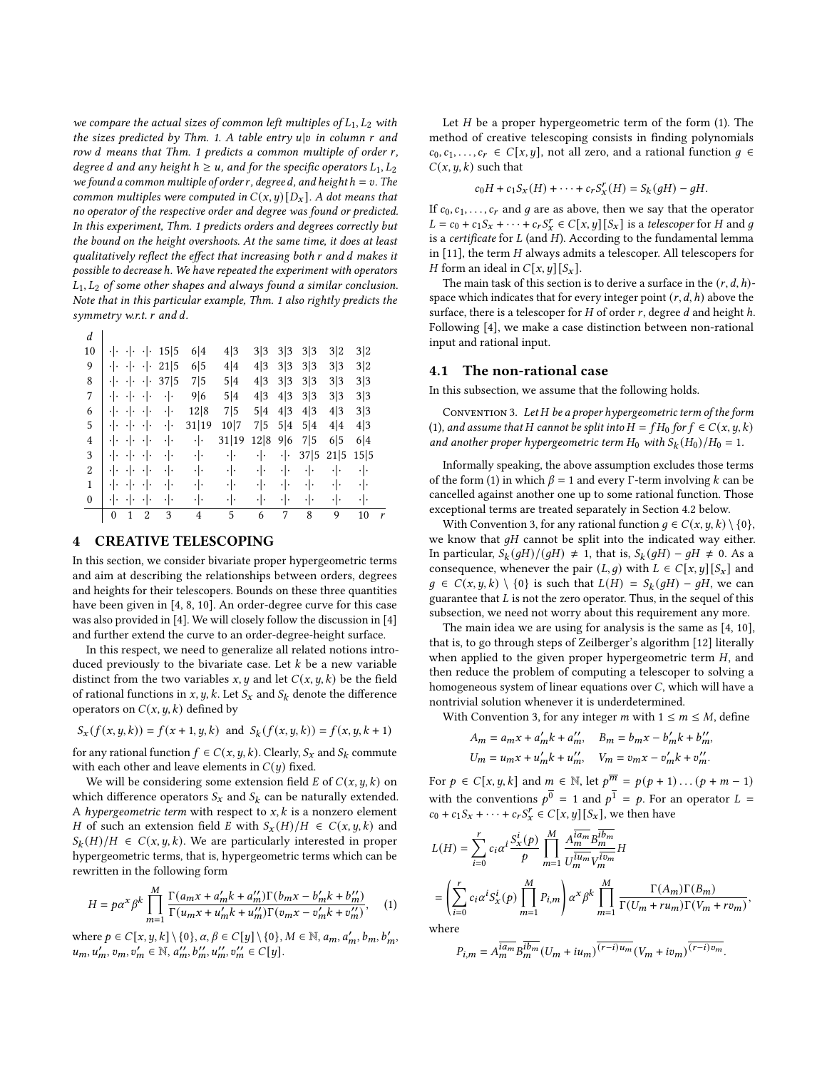we compare the actual sizes of common left multiples of  $L_1, L_2$  with the sizes predicted by Thm. [1.](#page-1-2) A table entry  $u|v$  in column  $r$  and row  $d$  means that Thm. [1](#page-1-2) predicts a common multiple of order  $r$ , degree d and any height  $h \ge u$ , and for the specific operators  $L_1, L_2$ we found a common multiple of order r, degree d, and height  $h = v$ . The common multiples were computed in  $C(x, y) [D_x]$ . A dot means that no operator of the respective order and degree was found or predicted. In this experiment, Thm. [1](#page-1-2) predicts orders and degrees correctly but the bound on the height overshoots. At the same time, it does at least qualitatively reflect the effect that increasing both  $r$  and  $d$  makes it possible to decrease ℎ. We have repeated the experiment with operators  $L_1, L_2$  of some other shapes and always found a similar conclusion. Note that in this particular example, Thm. [1](#page-1-2) also rightly predicts the symmetry w.r.t.  $r$  and  $d$ .

 $\overline{d}$ 

| u                |               |                     |                 |               |                |       |               |               |      |      |      |   |
|------------------|---------------|---------------------|-----------------|---------------|----------------|-------|---------------|---------------|------|------|------|---|
| 10               | ٠١٠           | $\cdot \cdot$       | ٠ŀ              | 15 5          | 6 4            | 4 3   | 3 3           | 3 3           | 3 3  | 3 2  | 3 2  |   |
| 9                | ٠ŀ            | $\cdot \cdot \cdot$ | ٠ ۰             | 21 5          | 6 5            | 4 4   | 4 3           | 3 3           | 3 3  | 3 3  | 3 2  |   |
| 8                | $\cdot \cdot$ | $\cdot \cdot$       | $\cdot$ .       | 37 5          | 7 5            | 5 4   | 4 3           | 3 3           | 3 3  | 3 3  | 3 3  |   |
| 7                | $\cdot \cdot$ | $\cdot \cdot$       | ٠ .             | ٠ .           | 9 6            | 5 4   | 4 3           | 4 3           | 3 3  | 3 3  | 3 3  |   |
| 6                | ٠ŀ            | $\cdot \cdot$       | ٠ .             | ٠ ۰           | 12 8           | 7 5   | 5 4           | 4 3           | 4 3  | 4 3  | 3 3  |   |
| 5                | ٠ŀ            | ⊣⊡                  | $\cdot \cdot$   | $\cdot \cdot$ | 31 19          | 10 7  | 7 5           | 5 4           | 5 4  | 4 4  | 4 3  |   |
| 4                | $\cdot \cdot$ | $\cdot \cdot$       | $\cdot$ .       | $\cdot \cdot$ | $\cdot \cdot$  | 31 19 | 12 8          | 9 6           | 7 5  | 6 5  | 6 4  |   |
| 3                | $\cdot \cdot$ | $\cdot \cdot$       | $\cdot$ .       | ٠ .           | $\cdot \cdot$  | ٠ .   | $\cdot$ .     | $\cdot \cdot$ | 37 5 | 21 5 | 15 5 |   |
| 2                | ٠١.           | $\cdot \cdot$       | ٠١.             | ٠ .           | ٠ ۰            | ٠ .   | $\cdot \cdot$ | $\cdot \cdot$ | ٠١.  | ٠ .  | ٠ .  |   |
| 1                | ٠١٠           | $\cdot \cdot$       | $\cdot$ $\cdot$ | ٠ .           | $\cdot \cdot$  | ٠ .   | $\cdot \cdot$ | $\cdot \cdot$ | ٠١.  | ٠ .  | ٠ .  |   |
| $\boldsymbol{0}$ | $\cdot \cdot$ | $\cdot \cdot$       | ٠١.             | ٠١٠           | ٠ŀ             | ٠ .   | $\cdot \cdot$ | ٠ŀ            | ٠ŀ   | ٠ .  | ٠ .  |   |
|                  | $\theta$      | 1                   | 2               | 3             | $\overline{4}$ | 5     | 6             | 7             | 8    | 9    | 10   | Y |

# <span id="page-2-0"></span>4 CREATIVE TELESCOPING

In this section, we consider bivariate proper hypergeometric terms and aim at describing the relationships between orders, degrees and heights for their telescopers. Bounds on these three quantities have been given in [\[4,](#page-8-6) [8,](#page-8-5) [10\]](#page-8-8). An order-degree curve for this case was also provided in [\[4\]](#page-8-6). We will closely follow the discussion in [\[4\]](#page-8-6) and further extend the curve to an order-degree-height surface.

In this respect, we need to generalize all related notions introduced previously to the bivariate case. Let  $k$  be a new variable distinct from the two variables  $x, y$  and let  $C(x, y, k)$  be the field of rational functions in x, y, k. Let  $S_x$  and  $S_k$  denote the difference operators on  $C(x, y, k)$  defined by

$$
S_x(f(x, y, k)) = f(x + 1, y, k)
$$
 and 
$$
S_k(f(x, y, k)) = f(x, y, k + 1)
$$

for any rational function  $f \in C(x, y, k)$ . Clearly,  $S_x$  and  $S_k$  commute with each other and leave elements in  $C(y)$  fixed.

We will be considering some extension field  $E$  of  $C(x, y, k)$  on which difference operators  $S_x$  and  $S_k$  can be naturally extended. A hypergeometric term with respect to  $x$ ,  $k$  is a nonzero element H of such an extension field E with  $S_x(H)/H \in C(x, y, k)$  and  $S_k(H)/H \in C(x, y, k)$ . We are particularly interested in proper hypergeometric terms, that is, hypergeometric terms which can be rewritten in the following form

<span id="page-2-1"></span>
$$
H = p\alpha^{x} \beta^{k} \prod_{m=1}^{M} \frac{\Gamma(a_{m}x + a'_{m}k + a''_{m})\Gamma(b_{m}x - b'_{m}k + b''_{m})}{\Gamma(a_{m}x + a'_{m}k + a''_{m})\Gamma(v_{m}x - v'_{m}k + v''_{m})}, \quad (1)
$$

where  $p \in C[x, y, k] \setminus \{0\}, \alpha, \beta \in C[y] \setminus \{0\}, M \in \mathbb{N}, a_m, a'_m, b_m, b'_m,$  $u_m, u'_m, v_m, v'_m \in \mathbb{N}, a''_m, b''_m, u''_m, v''_m \in C[y].$ 

Let  $H$  be a proper hypergeometric term of the form [\(1\)](#page-2-1). The method of creative telescoping consists in finding polynomials  $c_0, c_1, \ldots, c_r \in C[x, y]$ , not all zero, and a rational function  $g \in$  $C(x, y, k)$  such that

$$
c_0H + c_1S_x(H) + \cdots + c_rS_x^{r}(H) = S_k(gH) - gH.
$$

If  $c_0, c_1, \ldots, c_r$  and g are as above, then we say that the operator  $L = c_0 + c_1 S_x + \cdots + c_r S_x^r \in C[x, y][S_x]$  is a telescoper for H and g is a certificate for  $L$  (and  $H$ ). According to the fundamental lemma in  $[11]$ , the term  $H$  always admits a telescoper. All telescopers for *H* form an ideal in  $C[x, y][S_x]$ .

The main task of this section is to derive a surface in the  $(r, d, h)$ space which indicates that for every integer point  $(r, d, h)$  above the surface, there is a telescoper for  $H$  of order  $r$ , degree  $d$  and height  $h$ . Following [\[4\]](#page-8-6), we make a case distinction between non-rational input and rational input.

## 4.1 The non-rational case

In this subsection, we assume that the following holds.

<span id="page-2-2"></span>CONVENTION 3. Let  $H$  be a proper hypergeometric term of the form [\(1\)](#page-2-1), and assume that H cannot be split into  $H = fH_0$  for  $f \in C(x, y, k)$ and another proper hypergeometric term H<sub>0</sub> with  $S_k(H_0)/H_0 = 1$ .

Informally speaking, the above assumption excludes those terms of the form [\(1\)](#page-2-1) in which  $\beta = 1$  and every Γ-term involving k can be cancelled against another one up to some rational function. Those exceptional terms are treated separately in Section [4.2](#page-4-0) below.

With Convention [3,](#page-2-2) for any rational function  $q \in C(x, y, k) \setminus \{0\}$ , we know that  $qH$  cannot be split into the indicated way either. In particular,  $S_k(gH)/(gH) \neq 1$ , that is,  $S_k(gH) - gH \neq 0$ . As a consequence, whenever the pair  $(L, g)$  with  $L \in C[x, y][S_x]$  and  $g \in C(x, y, k) \setminus \{0\}$  is such that  $L(H) = S_k(gH) - gH$ , we can guarantee that  $L$  is not the zero operator. Thus, in the sequel of this subsection, we need not worry about this requirement any more.

The main idea we are using for analysis is the same as [\[4,](#page-8-6) [10\]](#page-8-8), that is, to go through steps of Zeilberger's algorithm [\[12\]](#page-8-10) literally when applied to the given proper hypergeometric term  $H$ , and then reduce the problem of computing a telescoper to solving a homogeneous system of linear equations over  $C$ , which will have a nontrivial solution whenever it is underdetermined.

With Convention [3,](#page-2-2) for any integer *m* with  $1 \le m \le M$ , define

$$
A_m = a_m x + a'_m k + a''_m, \quad B_m = b_m x - b'_m k + b''_m,
$$
  

$$
U_m = u_m x + u'_m k + u''_m, \quad V_m = v_m x - v'_m k + v''_m.
$$

For  $p \in C[x, y, k]$  and  $m \in \mathbb{N}$ , let  $p^{\overline{m}} = p(p + 1) \dots (p + m - 1)$ with the conventions  $p^{\overline{0}} = 1$  and  $p^{\overline{1}} = p$ . For an operator  $L =$  $c_0 + c_1 S_x + \cdots + c_r S_x^r \in C[x, y][S_x]$ , we then have

$$
\begin{split} L(H) & = \sum_{i=0}^r c_i \alpha^i \frac{S_x^i(p)}{p} \prod_{m=1}^M \frac{A_m^{\overline{lam}} B_m^{\overline{lb}m}}{U_m^{\overline{lu}_m} V_m^{\overline{lv}_m}} H \\ & = \left( \sum_{i=0}^r c_i \alpha^i S_x^i(p) \prod_{m=1}^M P_{i,m} \right) \alpha^x \beta^k \prod_{m=1}^M \frac{\Gamma(A_m) \Gamma(B_m)}{\Gamma(U_m + ru_m) \Gamma(V_m + rv_m)} \end{split}
$$

,

where

$$
P_{i,m}=A_{m}^{\overline{ia_{m}}}B_{m}^{\overline{ib_{m}}}(U_{m}+iu_{m})^{\overline{(r-i)u_{m}}}(V_{m}+iv_{m})^{\overline{(r-i)v_{m}}}.
$$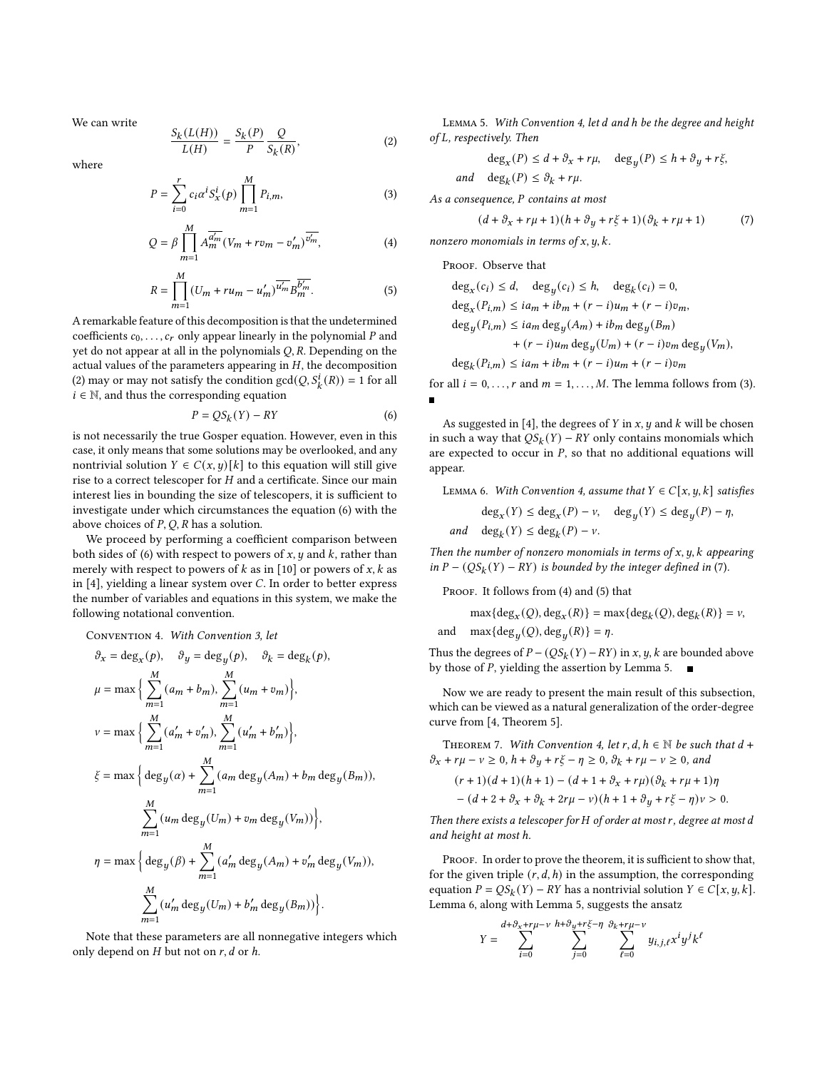We can write

<span id="page-3-0"></span>
$$
\frac{S_k(L(H))}{L(H)} = \frac{S_k(P)}{P} \frac{Q}{S_k(R)},
$$
\n(2)

where

$$
P = \sum_{i=0}^{r} c_i \alpha^i S_x^i(p) \prod_{m=1}^{M} P_{i,m},
$$
 (3)

$$
Q = \beta \prod_{m=1}^{M} A_m^{\overline{a'_m}} (V_m + r v_m - v'_m)^{\overline{v'_m}}, \tag{4}
$$

$$
R = \prod_{m=1}^{M} (U_m + ru_m - u'_m)^{\overline{u'_m}} B_m^{\overline{b'_m}}.
$$
 (5)

A remarkable feature of this decomposition is that the undetermined coefficients  $c_0, \ldots, c_r$  only appear linearly in the polynomial P and yet do not appear at all in the polynomials  $Q$ ,  $R$ . Depending on the actual values of the parameters appearing in  $H$ , the decomposition [\(2\)](#page-3-0) may or may not satisfy the condition  $gcd(Q, S_k^i(R)) = 1$  for all  $i \in \mathbb{N}$ , and thus the corresponding equation

<span id="page-3-1"></span>
$$
P = QS_k(Y) - RY \tag{6}
$$

is not necessarily the true Gosper equation. However, even in this case, it only means that some solutions may be overlooked, and any nontrivial solution  $Y \in C(x, y)[k]$  to this equation will still give rise to a correct telescoper for  $H$  and a certificate. Since our main interest lies in bounding the size of telescopers, it is sufficient to investigate under which circumstances the equation [\(6\)](#page-3-1) with the above choices of  $P$ ,  $O$ ,  $R$  has a solution.

We proceed by performing a coefficient comparison between both sides of [\(6\)](#page-3-1) with respect to powers of  $x$ ,  $y$  and  $k$ , rather than merely with respect to powers of  $k$  as in [\[10\]](#page-8-8) or powers of  $x$ ,  $k$  as in  $[4]$ , yielding a linear system over C. In order to better express the number of variables and equations in this system, we make the following notational convention.

<span id="page-3-2"></span>Convention 4. With Convention [3,](#page-2-2) let

$$
\vartheta_x = \deg_x(p), \quad \vartheta_y = \deg_y(p), \quad \vartheta_k = \deg_k(p),
$$
  
\n
$$
\mu = \max \Big\{ \sum_{m=1}^M (a_m + b_m), \sum_{m=1}^M (u_m + v_m) \Big\},
$$
  
\n
$$
v = \max \Big\{ \sum_{m=1}^M (a'_m + v'_m), \sum_{m=1}^M (u'_m + b'_m) \Big\},
$$
  
\n
$$
\xi = \max \Big\{ \deg_y(\alpha) + \sum_{m=1}^M (a_m \deg_y(A_m) + b_m \deg_y(B_m)),
$$
  
\n
$$
\sum_{m=1}^M (u_m \deg_y(U_m) + v_m \deg_y(V_m)) \Big\},
$$
  
\n
$$
\eta = \max \Big\{ \deg_y(\beta) + \sum_{m=1}^M (a'_m \deg_y(A_m) + v'_m \deg_y(V_m)),
$$
  
\n
$$
\sum_{m=1}^M (u'_m \deg_y(U_m) + b'_m \deg_y(B_m)) \Big\}.
$$

Note that these parameters are all nonnegative integers which only depend on  $H$  but not on  $r$ ,  $d$  or  $h$ .

<span id="page-3-7"></span>LEMMA 5. With Convention [4,](#page-3-2) let d and h be the degree and height of L, respectively. Then

$$
\deg_x(P) \leq d + \partial_x + r\mu, \quad \deg_y(P) \leq h + \partial_y + r\xi,
$$

and  $\deg_k(P) \leq \vartheta_k + r\mu$ .

<span id="page-3-3"></span>As a consequence, P contains at most

<span id="page-3-4"></span>
$$
(d + \partial_x + r\mu + 1)(h + \partial_y + r\xi + 1)(\partial_k + r\mu + 1)
$$
 (7)

<span id="page-3-6"></span><span id="page-3-5"></span>nonzero monomials in terms of  $x, y, k$ .

PROOF. Observe that

an

$$
deg_x(c_i) \le d, deg_y(c_i) \le h, deg_k(c_i) = 0,
$$
  
\n
$$
deg_x(P_{i,m}) \le ia_m + ib_m + (r - i)u_m + (r - i)v_m,
$$
  
\n
$$
deg_y(P_{i,m}) \le ia_m deg_y(A_m) + ib_m deg_y(B_m)
$$
  
\n
$$
+ (r - i)u_m deg_y(U_m) + (r - i)v_m deg_y(V_m),
$$
  
\n
$$
deg_k(P_{i,m}) \le ia_m + ib_m + (r - i)u_m + (r - i)v_m
$$

for all  $i = 0, \ldots, r$  and  $m = 1, \ldots, M$ . The lemma follows from [\(3\)](#page-3-3).

As suggested in [\[4\]](#page-8-6), the degrees of  $Y$  in  $x$ ,  $y$  and  $k$  will be chosen in such a way that  $QS_k(Y) - RY$  only contains monomials which are expected to occur in  $P$ , so that no additional equations will appear.

<span id="page-3-8"></span>LEMMA 6. With Convention [4,](#page-3-2) assume that  $Y \in C[x, y, k]$  satisfies

$$
\deg_x(Y) \le \deg_x(P) - \nu, \quad \deg_y(Y) \le \deg_y(P) - \eta,
$$
  

$$
d \deg_k(Y) \le \deg_k(P) - \nu.
$$

Then the number of nonzero monomials in terms of  $x, y, k$  appearing in  $P - (QS_k(Y) - RY)$  is bounded by the integer defined in [\(7\)](#page-3-4).

PROOF. It follows from [\(4\)](#page-3-5) and [\(5\)](#page-3-6) that

$$
\max\{\deg_x(Q), \deg_x(R)\} = \max\{\deg_k(Q), \deg_k(R)\} = \nu,
$$

and  $\max{\{ \text{deg}_u(Q), \text{deg}_u(R) \}} = \eta$ .

Thus the degrees of  $P - (QS_k(Y) - RY)$  in x, y, k are bounded above by those of  $P$ , yielding the assertion by Lemma [5.](#page-3-7)

Now we are ready to present the main result of this subsection, which can be viewed as a natural generalization of the order-degree curve from [\[4,](#page-8-6) Theorem 5].

<span id="page-3-9"></span>THEOREM 7. With Convention [4,](#page-3-2) let r, d,  $h \in \mathbb{N}$  be such that  $d +$  $\vartheta_x + r\mu - \nu \geq 0$ ,  $h + \vartheta_u + r\xi - \eta \geq 0$ ,  $\vartheta_k + r\mu - \nu \geq 0$ , and

$$
(r+1)(d+1)(h+1) - (d+1+\partial_x + r\mu)(\partial_k + r\mu + 1)\eta - (d+2+\partial_x + \partial_k + 2r\mu - \nu)(h+1+\partial_y + r\xi - \eta)\nu > 0.
$$

Then there exists a telescoper for  $H$  of order at most  $r$ , degree at most  $d$ and height at most ℎ.

PROOF. In order to prove the theorem, it is sufficient to show that, for the given triple  $(r, d, h)$  in the assumption, the corresponding equation  $P = QS_k(Y) - RY$  has a nontrivial solution  $Y \in C[x, y, k]$ . Lemma [6,](#page-3-8) along with Lemma [5,](#page-3-7) suggests the ansatz

$$
Y = \sum_{i=0}^{d+\vartheta_x+r\mu-\nu}\sum_{j=0}^{h+\vartheta_y+r\xi-\eta}\sum_{\ell=0}^{\vartheta_k+r\mu-\nu}y_{i,j,\ell}x^iy^jk^{\ell}
$$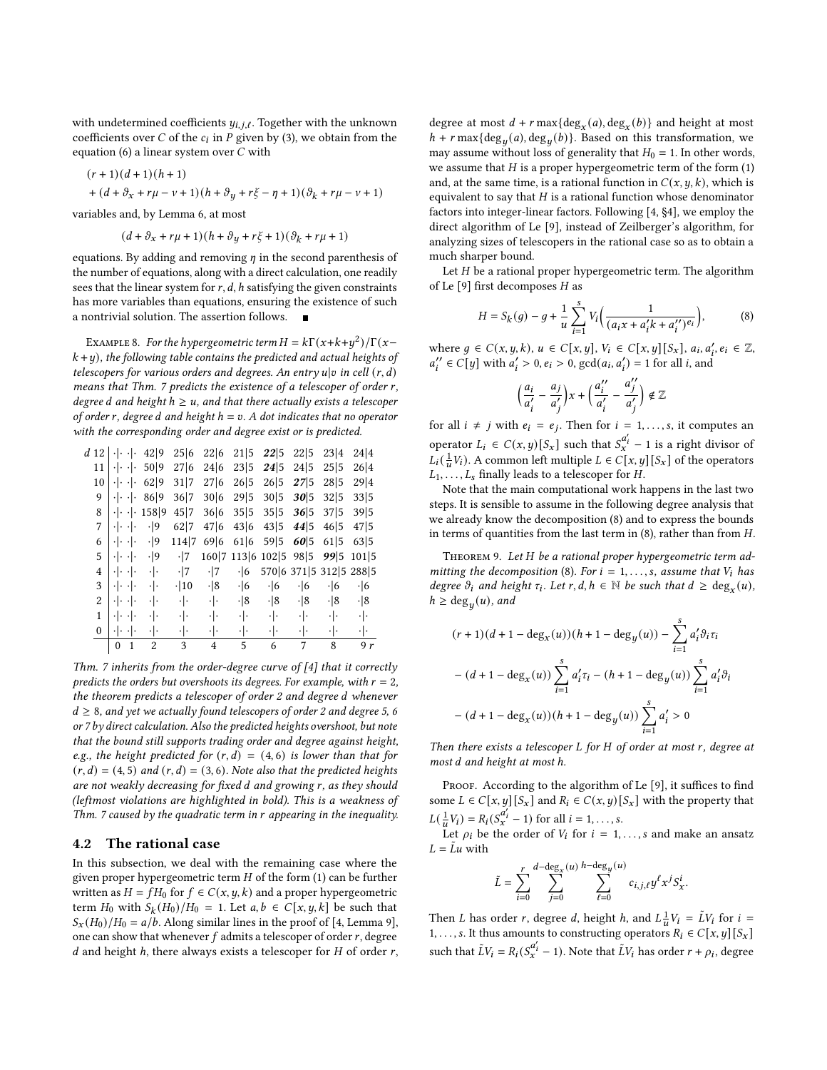with undetermined coefficients  $y_{i,j,\ell}$ . Together with the unknown coefficients over C of the  $c_i$  in P given by [\(3\)](#page-3-3), we obtain from the equation [\(6\)](#page-3-1) a linear system over  $C$  with

$$
\begin{aligned} &(r+1)(d+1)(h+1)\\ &+(d+\vartheta_x+r\mu-\nu+1)(h+\vartheta_y+r\xi-\eta+1)(\vartheta_k+r\mu-\nu+1) \end{aligned}
$$

variables and, by Lemma [6,](#page-3-8) at most

$$
(d + \partial_x + r\mu + 1)(h + \partial_y + r\xi + 1)(\partial_k + r\mu + 1)
$$

equations. By adding and removing  $\eta$  in the second parenthesis of the number of equations, along with a direct calculation, one readily sees that the linear system for  $r$ ,  $d$ ,  $h$  satisfying the given constraints has more variables than equations, ensuring the existence of such a nontrivial solution. The assertion follows.

<span id="page-4-3"></span>EXAMPLE 8. For the hypergeometric term  $H = k\Gamma(x+k+y^2)/\Gamma(x-\mathbb{I})$  $k+y$ ), the following table contains the predicted and actual heights of telescopers for various orders and degrees. An entry  $u|v$  in cell  $(r, d)$ means that Thm. [7](#page-3-9) predicts the existence of a telescoper of order r, degree d and height  $h \ge u$ , and that there actually exists a telescoper of order r, degree d and height  $h = v$ . A dot indicates that no operator with the corresponding order and degree exist or is predicted.

|              | $d12$ $ \cdot \cdot $           |              | 42 9           | 25 6          | 22 6           | 21 5       | 22 5            | 22 5            | 23 4                    | 24 4          |
|--------------|---------------------------------|--------------|----------------|---------------|----------------|------------|-----------------|-----------------|-------------------------|---------------|
| 11           | $\cdot$ $\cdot$ $\cdot$ $\cdot$ |              | 50 9           | 27 6          | 24 6           | 23 5       | 24 5            | 24 5            | 25 5                    | 26 4          |
| 10           | ءاء ءاء                         |              | 62 9           | 31 7          | 27 6           | 26 5       | 26 5            | 275             | 28 5                    | 29 4          |
| 9            | $\cdot   \cdot   \cdot  $       |              | 86 9           | 36 7          | 30 6           | 29 5       | 30 5            | 30 5            | 32 5                    | 33 5          |
| 8            | $\cdot \cdot \cdot \cdot$       |              | 158 9          | 45 7          | 36 6           | 35 5       | 35 5            | 36 5            | 37 5                    | 39 5          |
| 7            | $\cdot \cdot \cdot$             |              | $\cdot$  9     | 62 7          | 47 6           | 43 6       | 43 5            | 44 5            | 46 5                    | 47   5        |
| 6            | $\cdot$ $\cdot$ $\cdot$ $\cdot$ |              | $\cdot$  9     | 114 7         | 69 6           | 61 6       | 59 5            | 60 5            | 61 5                    | 63 5          |
| 5            | $\cdot$ $\cdot$ $\cdot$ $\cdot$ |              | $\cdot$  9     | $\cdot$  7    | 160 7          | 113 6      | 102 5           | 98 5            | 995                     | 101 5         |
| 4            | $\cdot \cdot \cdot$             |              | $\cdot \cdot$  | $\cdot$  7    | $\cdot$  7     | $\cdot$ 6  |                 |                 | 570 6 371 5 312 5 288 5 |               |
| 3            | $\cdot$ $\cdot$ $\cdot$ $\cdot$ |              | ٠ .            | $\cdot$  10   | $\cdot$  8     | $\cdot$ 6  | $\cdot$ 6       | $\cdot$ 6       | $\cdot$ 6               | $\cdot$ 6     |
| 2            | $\cdot$ $\cdot$ $\cdot$ $\cdot$ |              | ٠ .            | $\cdot \cdot$ | ٠ .            | $\cdot$  8 | $\cdot$  8      | $\cdot$  8      | $\cdot$  8              | $\cdot$  8    |
| 1            | -1- -1-                         |              | ٠ .            | $\cdot \cdot$ | ٠ .            | - 1        | $\cdot$ $\cdot$ | $\cdot$ $\cdot$ | $\cdot \cdot$           | $\cdot \cdot$ |
| $\mathbf{0}$ | وامتوا والمح                    |              | ٠ .            | ٠ ۰           | ٠١.            | $\cdot$ .  | ٠ ۰             | $\cdot \cdot$   | ٠ .                     | $\cdot \cdot$ |
|              | $\mathbf{0}$                    | $\mathbf{1}$ | $\overline{2}$ | 3             | $\overline{4}$ | 5          | 6               | 7               | 8                       | 9r            |

Thm. [7](#page-3-9) inherits from the order-degree curve of [\[4\]](#page-8-6) that it correctly predicts the orders but overshoots its degrees. For example, with  $r = 2$ , the theorem predicts a telescoper of order 2 and degree d whenever  $d \geq 8$ , and yet we actually found telescopers of order 2 and degree 5, 6 or 7 by direct calculation. Also the predicted heights overshoot, but note that the bound still supports trading order and degree against height, e.g., the height predicted for  $(r, d) = (4, 6)$  is lower than that for  $(r, d) = (4, 5)$  and  $(r, d) = (3, 6)$ . Note also that the predicted heights are not weakly decreasing for fixed  $d$  and growing  $r$ , as they should (leftmost violations are highlighted in bold). This is a weakness of Thm. [7](#page-3-9) caused by the quadratic term in  $r$  appearing in the inequality.

#### <span id="page-4-0"></span>4.2 The rational case

In this subsection, we deal with the remaining case where the given proper hypergeometric term  $H$  of the form [\(1\)](#page-2-1) can be further written as  $H = fH_0$  for  $f \in C(x, y, k)$  and a proper hypergeometric term  $H_0$  with  $S_k(H_0)/H_0 = 1$ . Let  $a, b \in C[x, y, k]$  be such that  $S_x(H_0)/H_0 = a/b$ . Along similar lines in the proof of [\[4,](#page-8-6) Lemma 9], one can show that whenever  $f$  admits a telescoper of order  $r$ , degree  $d$  and height  $h$ , there always exists a telescoper for  $H$  of order  $r$ ,

degree at most  $d + r \max\{\deg_x(a), \deg_x(b)\}\$  and height at most  $h + r \max\{\deg_u(a), \deg_u(b)\}.$  Based on this transformation, we may assume without loss of generality that  $H_0 = 1$ . In other words, we assume that  $H$  is a proper hypergeometric term of the form  $(1)$ and, at the same time, is a rational function in  $C(x, y, k)$ , which is equivalent to say that  $H$  is a rational function whose denominator factors into integer-linear factors. Following [\[4,](#page-8-6) §4], we employ the direct algorithm of Le [\[9\]](#page-8-11), instead of Zeilberger's algorithm, for analyzing sizes of telescopers in the rational case so as to obtain a much sharper bound.

Let  $H$  be a rational proper hypergeometric term. The algorithm of Le  $[9]$  first decomposes  $H$  as

<span id="page-4-1"></span>
$$
H = S_k(g) - g + \frac{1}{u} \sum_{i=1}^{s} V_i \left( \frac{1}{(a_i x + a'_i k + a''_i)^{e_i}} \right),
$$
 (8)

where  $g \in C(x, y, k), u \in C[x, y], V_i \in C[x, y][S_x], a_i, a'_i, e_i \in \mathbb{Z},$  $a''_i \in C[y]$  with  $a'_i > 0, e_i > 0$ ,  $gcd(a_i, a'_i) = 1$  for all *i*, and

$$
\left(\frac{a_i}{a'_i} - \frac{a_j}{a'_j}\right)x + \left(\frac{a''_i}{a'_i} - \frac{a''_j}{a'_j}\right) \notin \mathbb{Z}
$$

for all  $i \neq j$  with  $e_i = e_j$ . Then for  $i = 1, \ldots, s$ , it computes an operator  $L_i \in C(x, y)[S_x]$  such that  $S_x^{a'_i} - 1$  is a right divisor of  $L_i(\frac{1}{u}V_i)$ . A common left multiple  $L \in C[x, y][S_x]$  of the operators  $L_1, \ldots, L_s$  finally leads to a telescoper for H.

Note that the main computational work happens in the last two steps. It is sensible to assume in the following degree analysis that we already know the decomposition [\(8\)](#page-4-1) and to express the bounds in terms of quantities from the last term in  $(8)$ , rather than from  $H$ .

<span id="page-4-2"></span>THEOREM 9. Let H be a rational proper hypergeometric term ad-mitting the decomposition [\(8\)](#page-4-1). For  $i = 1, \ldots, s$ , assume that  $V_i$  has degree  $\vartheta_i$  and height  $\tau_i$ . Let  $r, d, h \in \mathbb{N}$  be such that  $d \geq \deg_x(u)$ ,  $h \ge \deg_u(u)$ , and

$$
(r+1)(d+1-\deg_x(u))(h+1-\deg_y(u)) - \sum_{i=1}^s a'_i \vartheta_i \tau_i
$$

$$
-(d+1-\deg_x(u)) \sum_{i=1}^s a'_i \tau_i - (h+1-\deg_y(u)) \sum_{i=1}^s a'_i \vartheta_i
$$

$$
-(d+1-\deg_x(u))(h+1-\deg_y(u)) \sum_{i=1}^s a'_i > 0
$$

Then there exists a telescoper  $L$  for  $H$  of order at most  $r$ , degree at most *d* and height at most h.

PROOF. According to the algorithm of Le [\[9\]](#page-8-11), it suffices to find some  $L \in C[x, y][S_x]$  and  $R_i \in C(x, y)[S_x]$  with the property that  $L(\frac{1}{u}V_i) = R_i(S_x^{\alpha'_i} - 1)$  for all  $i = 1, ..., s$ .

Let  $\rho_i$  be the order of  $V_i$  for  $i = 1, \ldots, s$  and make an ansatz  $L = \tilde{L}u$  with

$$
\tilde{L} = \sum_{i=0}^r \sum_{j=0}^{d-\deg_x(u)} \sum_{\ell=0}^{h-\deg_y(u)} c_{i,j,\ell} y^{\ell} x^j S_x^i.
$$

Then *L* has order *r*, degree *d*, height *h*, and  $L^{\frac{1}{u}}V_i = \tilde{L}V_i$  for  $i =$ 1, ..., s. It thus amounts to constructing operators  $R_i \in C[x, y][S_x]$ such that  $\tilde{L}V_i = R_i(S_x^{\alpha'_i} - 1)$ . Note that  $\tilde{L}V_i$  has order  $r + \rho_i$ , degree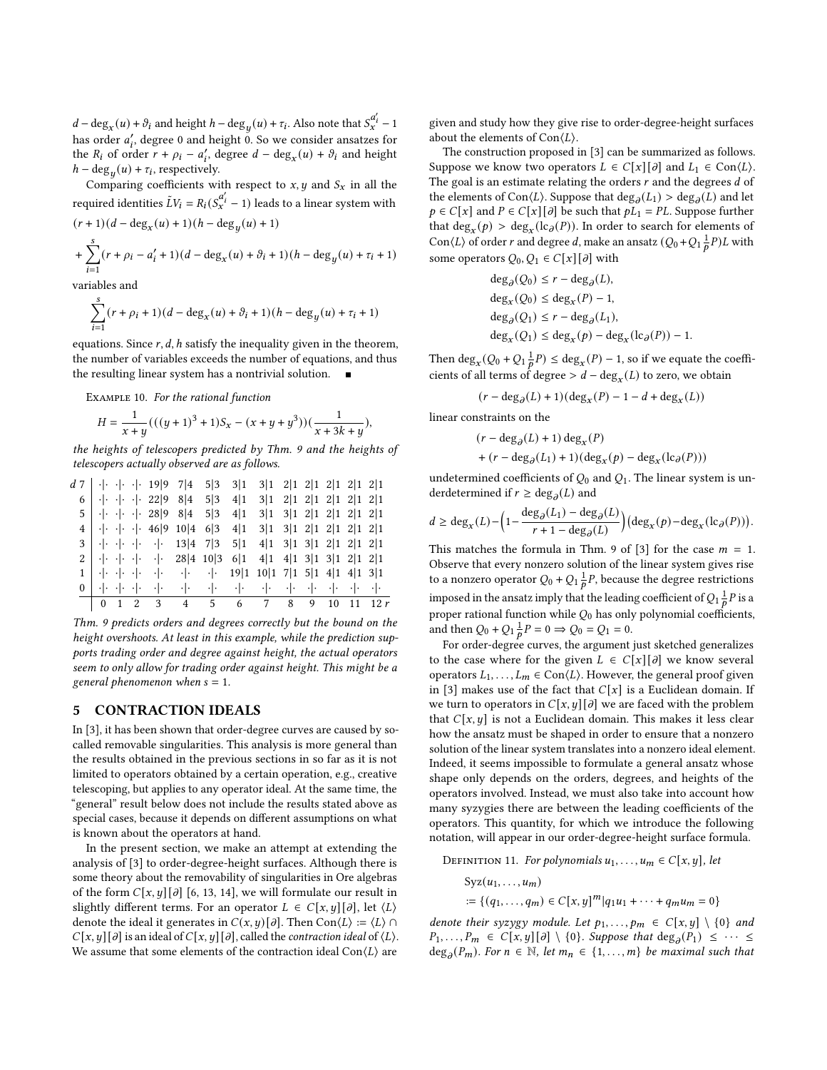$d - \deg_x(u) + \vartheta_i$  and height  $h - \deg_u(u) + \tau_i$ . Also note that  $S_x^{a'_i} - 1$ has order  $a'_i$ , degree 0 and height 0. So we consider ansatzes for the  $R_i$  of order  $r + \rho_i - a'_i$ , degree  $d - \deg_x(u) + \vartheta_i$  and height  $h - \deg_u(u) + \tau_i$ , respectively.

Comparing coefficients with respect to  $x, y$  and  $S_x$  in all the required identities  $\tilde{L}V_i = R_i(S_x^{\alpha'_i} - 1)$  leads to a linear system with

$$
(r+1)(d - \deg_x(u) + 1)(h - \deg_y(u) + 1)
$$
  
+ 
$$
\sum_{i=1}^{s} (r + \rho_i - a'_i + 1)(d - \deg_x(u) + \vartheta_i + 1)(h - \deg_y(u) + \tau_i + 1)
$$

variables and

$$
\sum_{i=1}^{s} (r + \rho_i + 1)(d - \deg_x(u) + \partial_i + 1)(h - \deg_y(u) + \tau_i + 1)
$$

equations. Since  $r$ ,  $d$ ,  $h$  satisfy the inequality given in the theorem, the number of variables exceeds the number of equations, and thus the resulting linear system has a nontrivial solution.  $\blacksquare$ 

Example 10. For the rational function

$$
H = \frac{1}{x+y}(((y+1)^3+1)S_x - (x+y+y^3))(\frac{1}{x+3k+y}),
$$

the heights of telescopers predicted by Thm. [9](#page-4-2) and the heights of telescopers actually observed are as follows.

|  |  | $1 \mid \cdot   \cdot \cdot   \cdot \cdot   \cdot \cdot   \cdot \cdot   \cdot \cdot   \cdot \cdot   \cdot 19   1 10   1 7   1 5   1 4   1 4   1 3   1$                                       |                                                 |  |  |  |
|--|--|----------------------------------------------------------------------------------------------------------------------------------------------------------------------------------------------|-------------------------------------------------|--|--|--|
|  |  | $2 \cdot  \cdot  \cdot  \cdot  \cdot  \cdot $ 28 4 10 3 6 1 4 1 4 1 3 1 3 1 2 1 2 1                                                                                                          |                                                 |  |  |  |
|  |  | $4 \mid \cdot \mid \cdot \mid \cdot \mid \cdot$ 46 9 10 4 6 3 4 1 3 1 3 1 2 1 2 1 2 1 2 1<br>$3 \mid \cdot   \cdot \cdot   \cdot \cdot   \cdot \cdot  $ 13 4 7 3 5 1 4 1 3 1 3 1 2 1 2 1 2 1 |                                                 |  |  |  |
|  |  | $5 \mid \cdot \mid \cdot \cdot \mid \cdot$ 28 9 8 4 5 3 4 1 3 1 3 1 2 1 2 1 2 1 2 1                                                                                                          |                                                 |  |  |  |
|  |  | 6   $\cdot$   $\cdot$   $\cdot$   22 9 8 4                                                                                                                                                   | $5 3 \t4 1 \t3 1 \t2 1 \t2 1 \t2 1 \t2 1 \t2 1$ |  |  |  |
|  |  | $d \ 7$   $\cdot \cdot \cdot \cdot \cdot \cdot 19$  9 7 4                                                                                                                                    | 5 3 3 1 3 1 2 1 2 1 2 1 2 1 2 1                 |  |  |  |

Thm. [9](#page-4-2) predicts orders and degrees correctly but the bound on the height overshoots. At least in this example, while the prediction supports trading order and degree against height, the actual operators seem to only allow for trading order against height. This might be a general phenomenon when  $s = 1$ .

## <span id="page-5-0"></span>5 CONTRACTION IDEALS

In [\[3\]](#page-8-2), it has been shown that order-degree curves are caused by socalled removable singularities. This analysis is more general than the results obtained in the previous sections in so far as it is not limited to operators obtained by a certain operation, e.g., creative telescoping, but applies to any operator ideal. At the same time, the "general" result below does not include the results stated above as special cases, because it depends on different assumptions on what is known about the operators at hand.

In the present section, we make an attempt at extending the analysis of [\[3\]](#page-8-2) to order-degree-height surfaces. Although there is some theory about the removability of singularities in Ore algebras of the form  $C[x, y][\partial]$  [\[6,](#page-8-12) [13,](#page-8-13) [14\]](#page-8-14), we will formulate our result in slightly different terms. For an operator  $L \in C[x, y][\partial]$ , let  $\langle L \rangle$ denote the ideal it generates in  $C(x, y) [\partial]$ . Then Con $\langle L \rangle := \langle L \rangle \cap \partial$  $C[x, y][\partial]$  is an ideal of  $C[x, y][\partial]$ , called the *contraction ideal* of  $\langle L \rangle$ . We assume that some elements of the contraction ideal Con $\langle L \rangle$  are

given and study how they give rise to order-degree-height surfaces about the elements of  $Con\langle L \rangle$ .

The construction proposed in [\[3\]](#page-8-2) can be summarized as follows. Suppose we know two operators  $L \in C[x][\partial]$  and  $L_1 \in \text{Con}\langle L \rangle$ . The goal is an estimate relating the orders  $r$  and the degrees  $d$  of the elements of Con $\langle L \rangle$ . Suppose that  $\text{deg}_{\partial}(L_1) > \text{deg}_{\partial}(L)$  and let  $p \in C[x]$  and  $P \in C[x][\partial]$  be such that  $pL_1 = PL$ . Suppose further that deg<sub>x</sub>( $p$ ) > deg<sub>x</sub>(lc<sub> $\partial$ </sub>( $P$ )). In order to search for elements of Con $\langle L \rangle$  of order r and degree d, make an ansatz  $(Q_0 + Q_1 \frac{1}{p}P)L$  with some operators  $Q_0, Q_1 \in C[x][\partial]$  with

$$
deg_{\partial}(Q_0) \le r - deg_{\partial}(L),
$$
  
\n
$$
deg_x(Q_0) \le deg_x(P) - 1,
$$
  
\n
$$
deg_{\partial}(Q_1) \le r - deg_{\partial}(L_1),
$$
  
\n
$$
deg_x(Q_1) \le deg_x(p) - deg_x(lc_{\partial}(P)) - 1.
$$

Then  $\deg_x(Q_0 + Q_1 \frac{1}{p}P) \leq \deg_x(P) - 1$ , so if we equate the coefficients of all terms of degree >  $d - \deg_x(L)$  to zero, we obtain

$$
(r - \deg_{\partial}(L) + 1)(\deg_x(P) - 1 - d + \deg_x(L))
$$

linear constraints on the

$$
(r - \deg_{\partial}(L) + 1) \deg_x(P)
$$
  
+ 
$$
(r - \deg_{\partial}(L_1) + 1)(\deg_x(p) - \deg_x(\mathrm{lc}_{\partial}(P)))
$$

undetermined coefficients of  $Q_0$  and  $Q_1$ . The linear system is underdetermined if  $r \ge \deg_{\partial}(L)$  and

$$
d \ge \deg_x(L) - \left(1 - \frac{\deg_{\partial}(L_1) - \deg_{\partial}(L)}{r + 1 - \deg_{\partial}(L)}\right) \left(\deg_x(p) - \deg_x(\mathrm{lc}_{\partial}(P))\right).
$$

This matches the formula in Thm. 9 of [\[3\]](#page-8-2) for the case  $m = 1$ . Observe that every nonzero solution of the linear system gives rise to a nonzero operator  $Q_0 + Q_1 \frac{1}{b}P$ , because the degree restrictions imposed in the ansatz imply that the leading coefficient of  $Q_1 \frac{1}{p} P$  is a proper rational function while  $\mathcal{Q}_0$  has only polynomial coefficients, and then  $Q_0 + Q_1 \frac{1}{p} P = 0 \implies Q_0 = Q_1 = 0.$ 

For order-degree curves, the argument just sketched generalizes to the case where for the given  $L \in C[x][\partial]$  we know several operators  $L_1, \ldots, L_m \in \text{Con}\langle L \rangle$ . However, the general proof given in [\[3\]](#page-8-2) makes use of the fact that  $C[x]$  is a Euclidean domain. If we turn to operators in  $C[x, y][\partial]$  we are faced with the problem that  $C[x, y]$  is not a Euclidean domain. This makes it less clear how the ansatz must be shaped in order to ensure that a nonzero solution of the linear system translates into a nonzero ideal element. Indeed, it seems impossible to formulate a general ansatz whose shape only depends on the orders, degrees, and heights of the operators involved. Instead, we must also take into account how many syzygies there are between the leading coefficients of the operators. This quantity, for which we introduce the following notation, will appear in our order-degree-height surface formula.

<span id="page-5-1"></span>DEFINITION 11. For polynomials  $u_1, \ldots, u_m \in C[x, y]$ , let

$$
Syz(u_1,...,u_m)
$$
  
 := { $(q_1,...,q_m) \in C[x,y]^m | q_1u_1 + \cdots + q_mu_m = 0$ }

denote their syzygy module. Let  $p_1, \ldots, p_m \in C[x, y] \setminus \{0\}$  and  $P_1, \ldots, P_m \in C[x, y][\partial] \setminus \{0\}$ . Suppose that  $\deg_{\partial}(P_1) \leq \cdots \leq$  $deg_{\partial}(P_m)$ . For  $n \in \mathbb{N}$ , let  $m_n \in \{1, ..., m\}$  be maximal such that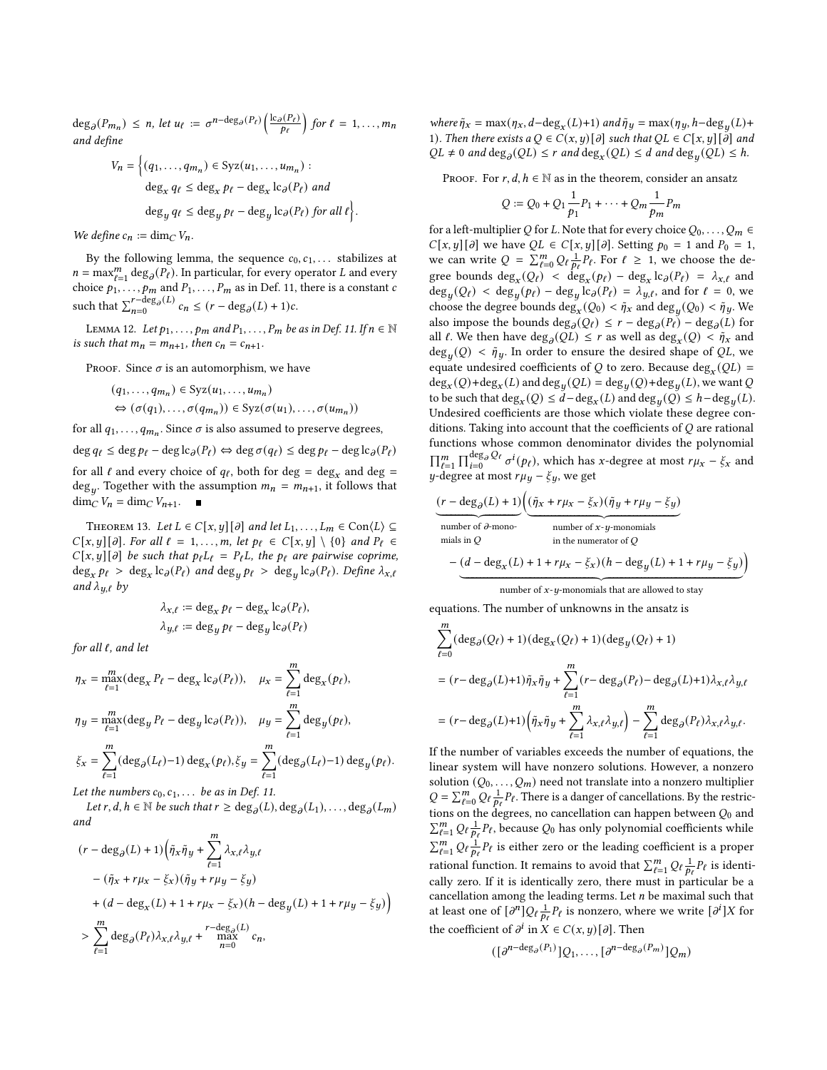$\deg_{\partial}(P_{m_n}) \leq n$ , let  $u_{\ell} := \sigma^{n-\deg_{\partial}(P_{\ell})}\left(\frac{\lg_{\partial}(P_{\ell})}{p_{\ell}}\right)$  for  $\ell = 1, ..., m_n$ and define

$$
V_n = \left\{ (q_1, \dots, q_{m_n}) \in \text{Syz}(u_1, \dots, u_{m_n}) : \text{deg}_x q_\ell \le \deg_x p_\ell - \deg_x \text{lc}_\partial(P_\ell) \text{ and} \right\}
$$

$$
\deg_y q_\ell \le \deg_y p_\ell - \deg_y \text{lc}_\partial(P_\ell) \text{ for all } \ell \right\}.
$$

We define  $c_n := \dim_C V_n$ .

By the following lemma, the sequence  $c_0, c_1, \ldots$  stabilizes at  $n = \max_{\ell=1}^m \deg_{\partial}(P_{\ell})$ . In particular, for every operator L and every choice  $p_1, \ldots, p_m$  and  $P_1, \ldots, P_m$  as in Def. [11,](#page-5-1) there is a constant c such that  $\sum_{n=0}^{r-\deg_{\partial}(L)}$  $\lim_{n=0}^{r-\deg_{\partial}(L)} c_n \leq (r-\deg_{\partial}(L)+1)c.$ 

LEMMA 12. Let  $p_1, \ldots, p_m$  and  $P_1, \ldots, P_m$  be as in Def. [11.](#page-5-1) If  $n \in \mathbb{N}$ is such that  $m_n = m_{n+1}$ , then  $c_n = c_{n+1}$ .

PROOF. Since  $\sigma$  is an automorphism, we have

$$
(q_1, ..., q_{m_n}) \in Syz(u_1, ..., u_{m_n})
$$
  
\n
$$
\Leftrightarrow (\sigma(q_1), ..., \sigma(q_{m_n})) \in Syz(\sigma(u_1), ..., \sigma(u_{m_n}))
$$

for all  $q_1, \ldots, q_{m_n}$ . Since  $\sigma$  is also assumed to preserve degrees,

 $\deg q_\ell \leq \deg p_\ell - \deg \mathrm{l} c_\partial(P_\ell) \Leftrightarrow \deg \sigma(q_\ell) \leq \deg p_\ell - \deg \mathrm{l} c_\partial(P_\ell)$ 

for all  $\ell$  and every choice of  $q_{\ell}$ , both for deg = deg<sub>x</sub> and deg = deg<sub>u</sub>. Together with the assumption  $m_n = m_{n+1}$ , it follows that  $\dim_C V_n = \dim_C V_{n+1}.$ 

<span id="page-6-0"></span>THEOREM 13. Let  $L \in C[x, y][\partial]$  and let  $L_1, \ldots, L_m \in \text{Con}\langle L \rangle \subseteq$  $C[x, y][\partial]$ . For all  $\ell = 1, \ldots, m$ , let  $p_{\ell} \in C[x, y] \setminus \{0\}$  and  $P_{\ell} \in$  $C[x, y][\partial]$  be such that  $p_{\ell}L_{\ell} = P_{\ell}L$ , the  $p_{\ell}$  are pairwise coprime,  $\deg_x p_\ell > \deg_x \log_x p_\ell$  and  $\deg_u p_\ell > \deg_u \log_x p_\ell$ . Define  $\lambda_{x,\ell}$ and  $\lambda_{y,\ell}$  by

$$
\lambda_{x,\ell} := \deg_x p_\ell - \deg_x \mathrm{lc}_{\partial}(P_\ell),
$$
  

$$
\lambda_{y,\ell} := \deg_y p_\ell - \deg_y \mathrm{lc}_{\partial}(P_\ell)
$$

for all  $\ell$ , and let

$$
\eta_x = \max_{\ell=1}^m (\deg_x P_\ell - \deg_x \log_P P_\ell)), \quad \mu_x = \sum_{\ell=1}^m \deg_x(p_\ell),
$$

$$
\eta_y = \max_{\ell=1}^m (\deg_y P_\ell - \deg_y \log_P P_\ell)), \quad \mu_y = \sum_{\ell=1}^m \deg_y(p_\ell),
$$

$$
\xi_x = \sum_{\ell=1}^m (\deg_\partial (L_\ell) - 1) \deg_x(p_\ell), \xi_y = \sum_{\ell=1}^m (\deg_\partial (L_\ell) - 1) \deg_y(p_\ell).
$$

Let the numbers  $c_0, c_1, \ldots$  be as in Def. [11.](#page-5-1)

Let  $r, d, h \in \mathbb{N}$  be such that  $r \ge \deg_{\partial}(L)$ ,  $\deg_{\partial}(L_1), \ldots, \deg_{\partial}(L_m)$ and

$$
\begin{aligned} &(r-\deg_{\partial}(L)+1)\Big(\tilde{\eta}_x\tilde{\eta}_y+\sum_{\ell=1}^m\lambda_{x,\ell}\lambda_{y,\ell}\\ &-(\tilde{\eta}_x+r\mu_x-\xi_x)(\tilde{\eta}_y+r\mu_y-\xi_y)\\ &+(d-\deg_x(L)+1+r\mu_x-\xi_x)(h-\deg_y(L)+1+r\mu_y-\xi_y)\Big)\\ &>\sum_{\ell=1}^m\deg_{\partial}(P_\ell)\lambda_{x,\ell}\lambda_{y,\ell}+\max_{\substack{n=0\\ n=0}}^{r-\deg_{\partial}(L)}c_n, \end{aligned}
$$

where  $\tilde{\eta}_x = \max(\eta_x, d - \deg_x(L) + 1)$  and  $\tilde{\eta}_y = \max(\eta_y, h - \deg_y(L) +$ 1). Then there exists  $a Q \in C(x, y) [\partial]$  such that  $QL \in C[x, y][\partial]$  and  $QL \neq 0$  and  $\deg_{\partial}(QL) \leq r$  and  $\deg_x(QL) \leq d$  and  $\deg_u(QL) \leq h$ .

PROOF. For  $r, d, h \in \mathbb{N}$  as in the theorem, consider an ansatz

$$
Q := Q_0 + Q_1 \frac{1}{p_1} P_1 + \dots + Q_m \frac{1}{p_m} P_m
$$

for a left-multiplier Q for L. Note that for every choice  $Q_0, \ldots, Q_m \in$  $C[x, y][\partial]$  we have  $QL \in C[x, y][\partial]$ . Setting  $p_0 = 1$  and  $P_0 = 1$ , we can write  $Q = \sum_{\ell=0}^{m} Q_{\ell} \frac{1}{p_{\ell}} P_{\ell}$ . For  $\ell \geq 1$ , we choose the degree bounds  $deg_x(Q_\ell) < deg_x(p_\ell) - deg_x lc_\partial(P_\ell) = \lambda_{x,\ell}$  and  $\deg_u(Q_\ell) < \deg_u(p_\ell) - \deg_u(\log_e(P_\ell)) = \lambda_{u,\ell}$ , and for  $\ell = 0$ , we choose the degree bounds  $\deg_x(Q_0) < \tilde{\eta}_x$  and  $\deg_y(Q_0) < \tilde{\eta}_y$ . We also impose the bounds  $\deg_{\partial}(Q_{\ell}) \leq r - \deg_{\partial}(P_{\ell}) - \deg_{\partial}(L)$  for all  $\ell$ . We then have  $\deg_{\partial}(QL) \leq r$  as well as  $\deg_x(Q) < \tilde{\eta}_x$  and  $deg_u(Q) < \tilde{\eta}_y$ . In order to ensure the desired shape of QL, we equate undesired coefficients of Q to zero. Because deg<sub>x</sub> (QL) =  $deg_x(Q) + deg_x(L)$  and  $deg_y(QL) = deg_y(Q) + deg_y(L)$ , we want Q to be such that  $\deg_x(Q) \leq d - \deg_x(L)$  and  $\deg_y(Q) \leq h - \deg_y(L)$ . Undesired coefficients are those which violate these degree conditions. Taking into account that the coefficients of  $Q$  are rational functions whose common denominator divides the polynomial  $\prod_{\ell=1}^m \prod_{i=0}^{\deg_{\partial} Q_{\ell}} \sigma^i(p_{\ell})$ , which has x-degree at most  $r\mu_x - \xi_x$  and  $y$ -degree at most  $r\mu_y - \xi_y$ , we get

$$
\underbrace{(r - \deg_{\partial}(L) + 1)}_{\text{number of }\partial\text{-mono}} \left( \underbrace{(\tilde{\eta}_x + r\mu_x - \xi_x)(\tilde{\eta}_y + r\mu_y - \xi_y)}_{\text{number of }\partial\text{-mono}} \right)
$$
\nminals in Q

\n
$$
- (d - \deg_x(L) + 1 + r\mu_x - \xi_x)(h - \deg_y(L) + 1 + r\mu_y - \xi_y)
$$

 $\overline{z}$  number of  $x$ - $u$ -monomials that are allowed to stay

equations. The number of unknowns in the ansatz is

$$
\begin{aligned} &\sum_{\ell=0}^m (\deg_{\partial}(Q_{\ell})+1)(\deg_x(Q_{\ell})+1)(\deg_y(Q_{\ell})+1) \\ &= (r-\deg_{\partial}(L)+1)\tilde{\eta}_x\tilde{\eta}_y + \sum_{\ell=1}^m (r-\deg_{\partial}(P_{\ell})-\deg_{\partial}(L)+1)\lambda_{x,\ell}\lambda_{y,\ell} \\ &= (r-\deg_{\partial}(L)+1)\Big(\tilde{\eta}_x\tilde{\eta}_y + \sum_{\ell=1}^m \lambda_{x,\ell}\lambda_{y,\ell}\Big) - \sum_{\ell=1}^m \deg_{\partial}(P_{\ell})\lambda_{x,\ell}\lambda_{y,\ell}. \end{aligned}
$$

If the number of variables exceeds the number of equations, the linear system will have nonzero solutions. However, a nonzero solution  $(Q_0, \ldots, Q_m)$  need not translate into a nonzero multiplier  $Q = \sum_{\ell=0}^{m} Q_{\ell} \frac{1}{p_{\ell}} p_{\ell}$ . There is a danger of cancellations. By the restrictions on the degrees, no cancellation can happen between  $Q_0$  and  $\sum_{\ell=1}^m Q_\ell \frac{1}{p_\ell} P_\ell$ , because  $Q_0$  has only polynomial coefficients while  $\sum_{\ell=1}^m Q_\ell \frac{1}{p_\ell} P_\ell$  is either zero or the leading coefficient is a proper rational function. It remains to avoid that  $\sum_{\ell=1}^{m} Q_{\ell} \frac{1}{p_{\ell}} P_{\ell}$  is identically zero. If it is identically zero, there must in particular be a cancellation among the leading terms. Let  $n$  be maximal such that at least one of  $\left[\partial^n\right]Q_\ell\frac{1}{p_\ell}P_\ell$  is nonzero, where we write  $\left[\partial^i\right]X$  for the coefficient of  $\partial^i$  in  $\overline{X} \in C(x, y) [\partial]$ . Then

$$
([\partial^{n-\deg_{\partial}(P_1)}]Q_1,\ldots,[\partial^{n-\deg_{\partial}(P_m)}]Q_m)
$$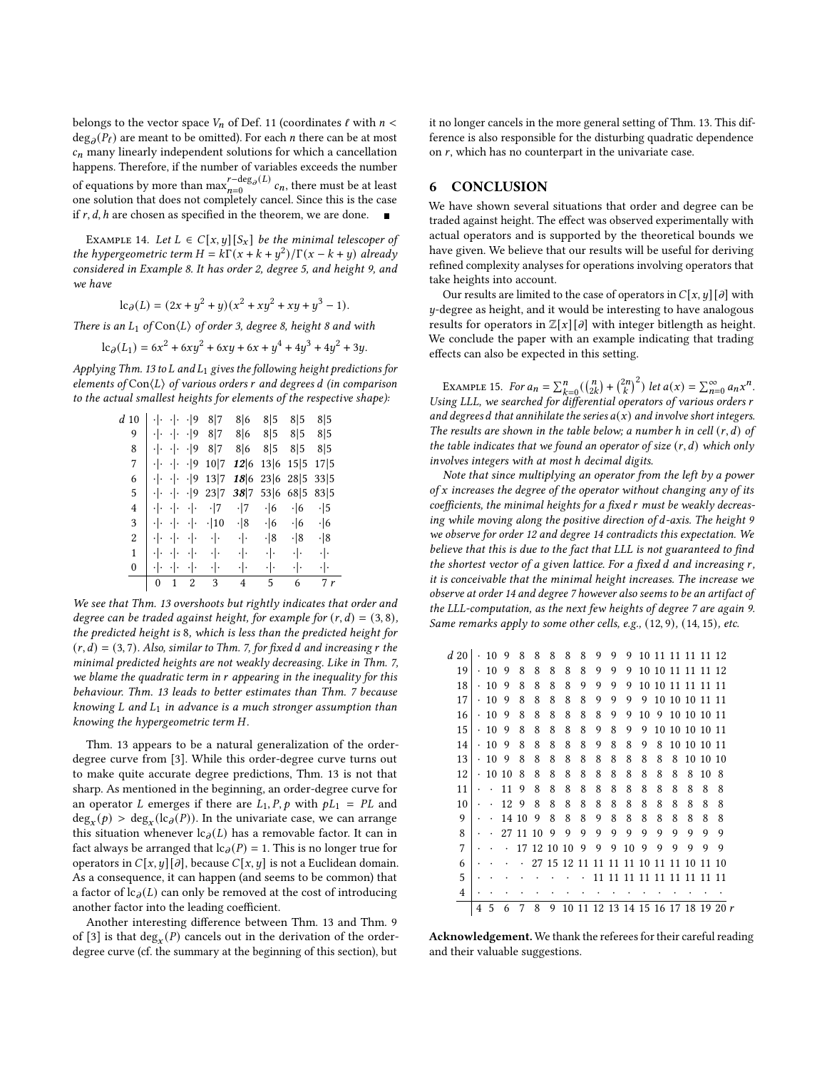belongs to the vector space  $V_n$  of Def. [11](#page-5-1) (coordinates  $\ell$  with  $n <$  $\deg_{\partial}(P_{\ell})$  are meant to be omitted). For each *n* there can be at most  $c_n$  many linearly independent solutions for which a cancellation happens. Therefore, if the number of variables exceeds the number of equations by more than max  $r-\deg_{\partial}(L)$  $\lim_{n=0}^{r-\deg_{\partial}(L)} c_n$ , there must be at least one solution that does not completely cancel. Since this is the case if  $r$ ,  $d$ ,  $h$  are chosen as specified in the theorem, we are done.

EXAMPLE 14. Let  $L \in C[x, y][S_x]$  be the minimal telescoper of the hypergeometric term  $H = k\Gamma(x + k + y^2)/\Gamma(x - k + y)$  already considered in Example [8.](#page-4-3) It has order 2, degree 5, and height 9, and we have

$$
lc_{\partial}(L) = (2x + y^{2} + y)(x^{2} + xy^{2} + xy + y^{3} - 1).
$$

There is an  $L_1$  of  $Con\langle L \rangle$  of order 3, degree 8, height 8 and with

$$
lc_{\partial}(L_1) = 6x^2 + 6xy^2 + 6xy + 6x + y^4 + 4y^3 + 4y^2 + 3y.
$$

Applying Thm. [13](#page-6-0) to  $L$  and  $L_1$  gives the following height predictions for elements of  $Con\langle L \rangle$  of various orders r and degrees d (in comparison to the actual smallest heights for elements of the respective shape):

| d10            |              |                     | $\cdot$  9     | 8 7               | 8 6               | 8 5       | 8 5        | 8 5        |
|----------------|--------------|---------------------|----------------|-------------------|-------------------|-----------|------------|------------|
| 9              | ٠ ۰          | ٠ ۰                 | .19            | 8 7               | 8 6               | 8 5       | 8 5        | 8 5        |
| 8              | ٠ .          | ٠ .                 | $\cdot$  9     | 8 7               | 8 6               | 8 5       | 8 5        | 8 5        |
| 7              | ٠ .          | $\cdot$ .           | $\cdot$  9     | 10 7              | 12 6              | 13 6      | 15 5       | 17 5       |
| 6              | ٠ .          | $\cdot \cdot$       | $\cdot$  9     | 13 7              | 18 6              | 23 6      | 28 5       | 33 5       |
| 5              | ٠ .          | $\cdot \cdot \cdot$ | $\cdot$  9     | 23 7              | 38 7              | 53 6      | 68 5       | 835        |
| $\overline{4}$ | ٠Ι.          | ٠ .                 | ٠ .            | $\cdot$  7        | $\cdot$  7        | $\cdot$ 6 | $\cdot$ 6  | $\cdot$  5 |
| 3              | ٠ .          | $\cdot \cdot$       | ٠ ۰            | $\cdot$  10       | $\cdot$  8        | $\cdot$ 6 | $\cdot$ 6  | $\cdot$ 6  |
| 2              | ٠ ۰          | $\cdot \cdot$       | ٠ ۰            | $\cdot$   $\cdot$ | $\cdot$   $\cdot$ | . 8       | $\cdot$  8 | $\cdot$  8 |
| $\mathbf{1}$   | ٠ .          | ٠ .                 | ٠ ۰            | $\cdot$   $\cdot$ | ٠ .               | ٠ ۰       | ٠ ۰        | ٠ .        |
| $\mathbf{0}$   | ٠١.          | ٠١.                 | ٠ .            | ٠ .               | ٠ ۰               | ٠ .       | ٠ .        | ٠ ۰        |
|                | $\mathbf{0}$ | 1                   | $\overline{2}$ | 3                 | 4                 | 5         | 6          | 7r         |

We see that Thm. [13](#page-6-0) overshoots but rightly indicates that order and degree can be traded against height, for example for  $(r, d) = (3, 8)$ , the predicted height is 8, which is less than the predicted height for  $(r, d) = (3, 7)$ . Also, similar to Thm. [7,](#page-3-9) for fixed d and increasing r the minimal predicted heights are not weakly decreasing. Like in Thm. [7,](#page-3-9) we blame the quadratic term in r appearing in the inequality for this behaviour. Thm. [13](#page-6-0) leads to better estimates than Thm. [7](#page-3-9) because knowing  $L$  and  $L_1$  in advance is a much stronger assumption than knowing the hypergeometric term H.

Thm. [13](#page-6-0) appears to be a natural generalization of the orderdegree curve from [\[3\]](#page-8-2). While this order-degree curve turns out to make quite accurate degree predictions, Thm. [13](#page-6-0) is not that sharp. As mentioned in the beginning, an order-degree curve for an operator L emerges if there are  $L_1$ ,  $P$ ,  $p$  with  $pL_1 = PL$  and  $deg_x(p) > deg_x(lc_{\partial}(P))$ . In the univariate case, we can arrange this situation whenever  $lc_{\partial}(L)$  has a removable factor. It can in fact always be arranged that  $lc_{\partial}(P) = 1$ . This is no longer true for operators in  $C[x, y][\partial]$ , because  $C[x, y]$  is not a Euclidean domain. As a consequence, it can happen (and seems to be common) that a factor of  $lc_{\partial}(L)$  can only be removed at the cost of introducing another factor into the leading coefficient.

Another interesting difference between Thm. [13](#page-6-0) and Thm. 9 of [\[3\]](#page-8-2) is that  $deg_x(P)$  cancels out in the derivation of the orderdegree curve (cf. the summary at the beginning of this section), but

it no longer cancels in the more general setting of Thm. [13.](#page-6-0) This difference is also responsible for the disturbing quadratic dependence on  $r$ , which has no counterpart in the univariate case.

# 6 CONCLUSION

We have shown several situations that order and degree can be traded against height. The effect was observed experimentally with actual operators and is supported by the theoretical bounds we have given. We believe that our results will be useful for deriving refined complexity analyses for operations involving operators that take heights into account.

Our results are limited to the case of operators in  $C[x, y][\partial]$  with -degree as height, and it would be interesting to have analogous results for operators in  $\mathbb{Z}[x][\partial]$  with integer bitlength as height. We conclude the paper with an example indicating that trading effects can also be expected in this setting.

EXAMPLE 15. For  $a_n = \sum_{k=0}^n \left( {n \choose 2k} + {2n \choose k}^2 \right)$  let  $a(x) = \sum_{n=0}^{\infty} a_n x^n$ . Using LLL, we searched for differential operators of various orders r and degrees d that annihilate the series  $a(x)$  and involve short integers. The results are shown in the table below; a number h in cell  $(r, d)$  of the table indicates that we found an operator of size  $(r, d)$  which only involves integers with at most h decimal digits.

Note that since multiplying an operator from the left by a power of  $x$  increases the degree of the operator without changing any of its coefficients, the minimal heights for a fixed r must be weakly decreasing while moving along the positive direction of d-axis. The height 9 we observe for order 12 and degree 14 contradicts this expectation. We believe that this is due to the fact that LLL is not guaranteed to find the shortest vector of a given lattice. For a fixed  $d$  and increasing  $r$ , it is conceivable that the minimal height increases. The increase we observe at order 14 and degree 7 however also seems to be an artifact of the LLL-computation, as the next few heights of degree 7 are again 9. Same remarks apply to some other cells, e.g., (12, 9), (14, 15), etc.

| 19             | ٠ | 10 | 9  | 8  | 8  | 8     | 8     | 8  | 9  | 9  | 9                              |    |    | 10 10 11 11 11 12 |             |          |    |  |
|----------------|---|----|----|----|----|-------|-------|----|----|----|--------------------------------|----|----|-------------------|-------------|----------|----|--|
| 18             |   | 10 | 9  | 8  | 8  | 8     | 8     | 9  | 9  | 9  | 9                              | 10 |    | 10 11 11 11 11    |             |          |    |  |
| 17             | ٠ | 10 | 9  | 8  | 8  | 8     | 8     | 8  | 9  | 9  | 9                              | 9  | 10 | 10 10 11 11       |             |          |    |  |
| 16             | ٠ | 10 | 9  | 8  | 8  | 8     | 8     | 8  | 8  | 9  | 9                              | 10 | 9  |                   | 10 10 10 11 |          |    |  |
| 15             | ٠ | 10 | 9  | 8  | 8  | 8     | 8     | 8  | 9  | 8  | 9                              | 9  | 10 |                   | 10 10 10 11 |          |    |  |
| 14             | ٠ | 10 | 9  | 8  | 8  | 8     | 8     | 8  | 9  | 8  | 8                              | 9  | 8  |                   | 10 10 10 11 |          |    |  |
| 13             | ٠ | 10 | 9  | 8  | 8  | 8     | 8     | 8  | 8  | 8  | 8                              | 8  | 8  | 8                 |             | 10 10 10 |    |  |
| 12             | ٠ | 10 | 10 | 8  | 8  | 8     | 8     | 8  | 8  | 8  | 8                              | 8  | 8  | 8                 | 8           | 10       | 8  |  |
| 11             |   |    | 11 | 9  | 8  | 8     | 8     | 8  | 8  | 8  | 8                              | 8  | 8  | 8                 | 8           | 8        | 8  |  |
| 10             |   | ٠  | 12 | 9  | 8  | 8     | 8     | 8  | 8  | 8  | 8                              | 8  | 8  | 8                 | 8           | 8        | 8  |  |
| 9              |   |    | 14 | 10 | 9  | 8     | 8     | 8  | 9  | 8  | 8                              | 8  | 8  | 8                 | 8           | 8        | 8  |  |
| 8              |   |    | 27 | 11 | 10 | 9     | 9     | 9  | 9  | 9  | 9                              | 9  | 9  | 9                 | 9           | 9        | 9  |  |
| 7              |   |    |    | 17 |    | 12 10 | 10    | 9  | 9  | 9  | 10                             | 9  | 9  | 9                 | 9           | 9        | 9  |  |
| 6              |   |    |    |    | 27 |       | 15 12 | 11 | 11 | 11 | 11                             | 10 | 11 | 11                | 10          | 11       | 10 |  |
| 5              |   |    |    |    |    |       |       |    | 11 | 11 | 11                             | 11 | 11 | 11                | 11          | 11       | 11 |  |
| $\overline{4}$ |   |    |    |    |    |       |       |    |    |    |                                |    |    |                   |             |          |    |  |
|                | 4 | 5  | 6  | 7  | 8  | 9     | 10    | 11 |    |    | 12 13 14 15 16 17 18 19 20 $r$ |    |    |                   |             |          |    |  |

Acknowledgement. We thank the referees for their careful reading and their valuable suggestions.